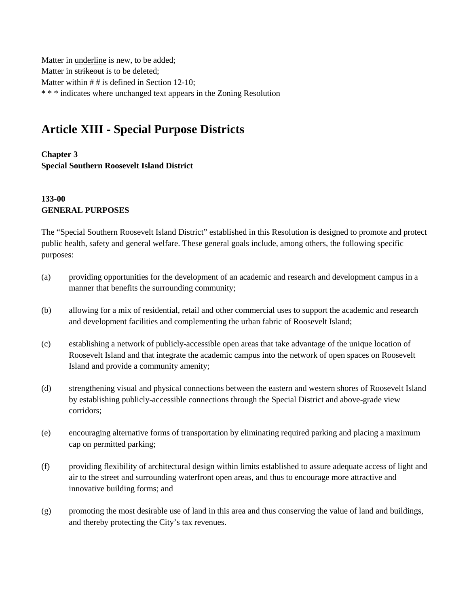Matter in underline is new, to be added; Matter in strikeout is to be deleted; Matter within # # is defined in Section 12-10; \* \* \* indicates where unchanged text appears in the Zoning Resolution

# **Article XIII - Special Purpose Districts**

### **Chapter 3 Special Southern Roosevelt Island District**

## **133-00 GENERAL PURPOSES**

The "Special Southern Roosevelt Island District" established in this Resolution is designed to promote and protect public health, safety and general welfare. These general goals include, among others, the following specific purposes:

- (a) providing opportunities for the development of an academic and research and development campus in a manner that benefits the surrounding community;
- (b) allowing for a mix of residential, retail and other commercial uses to support the academic and research and development facilities and complementing the urban fabric of Roosevelt Island;
- (c) establishing a network of publicly-accessible open areas that take advantage of the unique location of Roosevelt Island and that integrate the academic campus into the network of open spaces on Roosevelt Island and provide a community amenity;
- (d) strengthening visual and physical connections between the eastern and western shores of Roosevelt Island by establishing publicly-accessible connections through the Special District and above-grade view corridors;
- (e) encouraging alternative forms of transportation by eliminating required parking and placing a maximum cap on permitted parking;
- (f) providing flexibility of architectural design within limits established to assure adequate access of light and air to the street and surrounding waterfront open areas, and thus to encourage more attractive and innovative building forms; and
- (g) promoting the most desirable use of land in this area and thus conserving the value of land and buildings, and thereby protecting the City's tax revenues.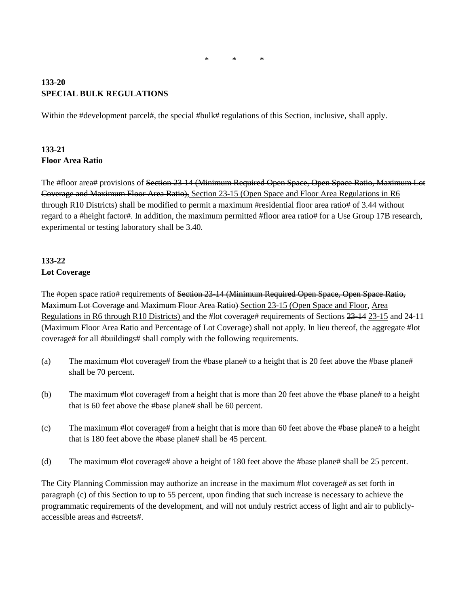#### **133-20 SPECIAL BULK REGULATIONS**

Within the #development parcel#, the special #bulk# regulations of this Section, inclusive, shall apply.

## **133-21 Floor Area Ratio**

The #floor area# provisions of Section 23-14 (Minimum Required Open Space, Open Space Ratio, Maximum Lot Coverage and Maximum Floor Area Ratio), Section 23-15 (Open Space and Floor Area Regulations in R6 through R10 Districts) shall be modified to permit a maximum #residential floor area ratio# of 3.44 without regard to a #height factor#. In addition, the maximum permitted #floor area ratio# for a Use Group 17B research, experimental or testing laboratory shall be 3.40.

## **133-22 Lot Coverage**

The #open space ratio# requirements of Section 23-14 (Minimum Required Open Space, Open Space Ratio, Maximum Lot Coverage and Maximum Floor Area Ratio) Section 23-15 (Open Space and Floor, Area Regulations in R6 through R10 Districts) and the #lot coverage# requirements of Sections 23-14 23-15 and 24-11 (Maximum Floor Area Ratio and Percentage of Lot Coverage) shall not apply. In lieu thereof, the aggregate #lot coverage# for all #buildings# shall comply with the following requirements.

- (a) The maximum #lot coverage# from the #base plane# to a height that is 20 feet above the #base plane# shall be 70 percent.
- (b) The maximum #lot coverage# from a height that is more than 20 feet above the #base plane# to a height that is 60 feet above the #base plane# shall be 60 percent.
- (c) The maximum #lot coverage# from a height that is more than 60 feet above the #base plane# to a height that is 180 feet above the #base plane# shall be 45 percent.
- (d) The maximum #lot coverage# above a height of 180 feet above the #base plane# shall be 25 percent.

The City Planning Commission may authorize an increase in the maximum #lot coverage# as set forth in paragraph (c) of this Section to up to 55 percent, upon finding that such increase is necessary to achieve the programmatic requirements of the development, and will not unduly restrict access of light and air to publiclyaccessible areas and #streets#.